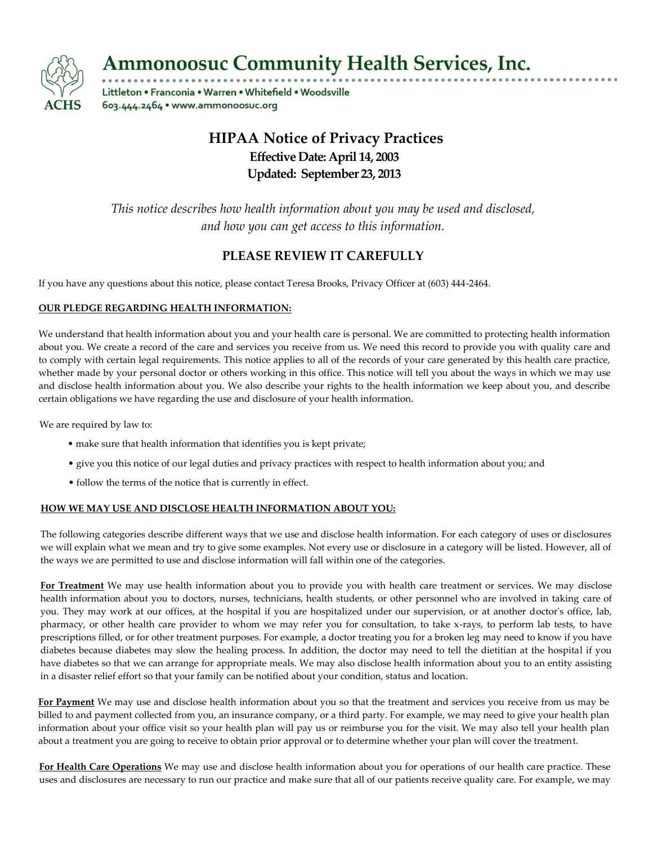

**Ammonoosuc Community Health Services, Inc.** 

Littleton . Franconia . Warren . Whitefield . Woodsville 603.444.2464 · www.ammonoosuc.org

# **HIPAA Notice of Privacy Practices Effective Date: April 14, 2003 Updated: September 23, 2013**

*This notice describes how health information about you may be used and disclosed, and how you can get access to this information.*

## **PLEASE REVIEW IT CAREFULLY**

If you have any questions about this notice, please contact Teresa Brooks, Privacy Officer at (603) 444-2464.

### **OUR PLEDGE REGARDING HEALTH INFORMATION:**

We understand that health information about you and your health care is personal. We are committed to protecting health information about you. We create a record of the care and services you receive from us. We need this record to provide you with quality care and to comply with certain legal requirements. This notice applies to all of the records of your care generated by this health care practice, whether made by your personal doctor or others working in this office. This notice will tell you about the ways in which we may use and disclose health information about you. We also describe your rights to the health information we keep about you, and describe certain obligations we have regarding the use and disclosure of your health information.

We are required by law to:

- make sure that health information that identifies you is kept private;
- give you this notice of our legal duties and privacy practices with respect to health information about you; and
- follow the terms of the notice that is currently in effect.

#### **HOW WE MAY USE AND DISCLOSE HEALTH INFORMATION ABOUT YOU:**

The following categories describe different ways that we use and disclose health information. For each category of uses or disclosures we will explain what we mean and try to give some examples. Not every use or disclosure in a category will be listed. However, all of the ways we are permitted to use and disclose information will fall within one of the categories.

**For Treatment** We may use health information about you to provide you with health care treatment or services. We may disclose health information about you to doctors, nurses, technicians, health students, or other personnel who are involved in taking care of you. They may work at our offices, at the hospital if you are hospitalized under our supervision, or at another doctor's office, lab, pharmacy, or other health care provider to whom we may refer you for consultation, to take x-rays, to perform lab tests, to have prescriptions filled, or for other treatment purposes. For example, a doctor treating you for a broken leg may need to know if you have diabetes because diabetes may slow the healing process. In addition, the doctor may need to tell the dietitian at the hospital if you have diabetes so that we can arrange for appropriate meals. We may also disclose health information about you to an entity assisting in a disaster relief effort so that your family can be notified about your condition, status and location.

**For Payment** We may use and disclose health information about you so that the treatment and services you receive from us may be billed to and payment collected from you, an insurance company, or a third party. For example, we may need to give your health plan information about your office visit so your health plan will pay us or reimburse you for the visit. We may also tell your health plan about a treatment you are going to receive to obtain prior approval or to determine whether your plan will cover the treatment.

**For Health Care Operations** We may use and disclose health information about you for operations of our health care practice. These uses and disclosures are necessary to run our practice and make sure that all of our patients receive quality care. For example, we may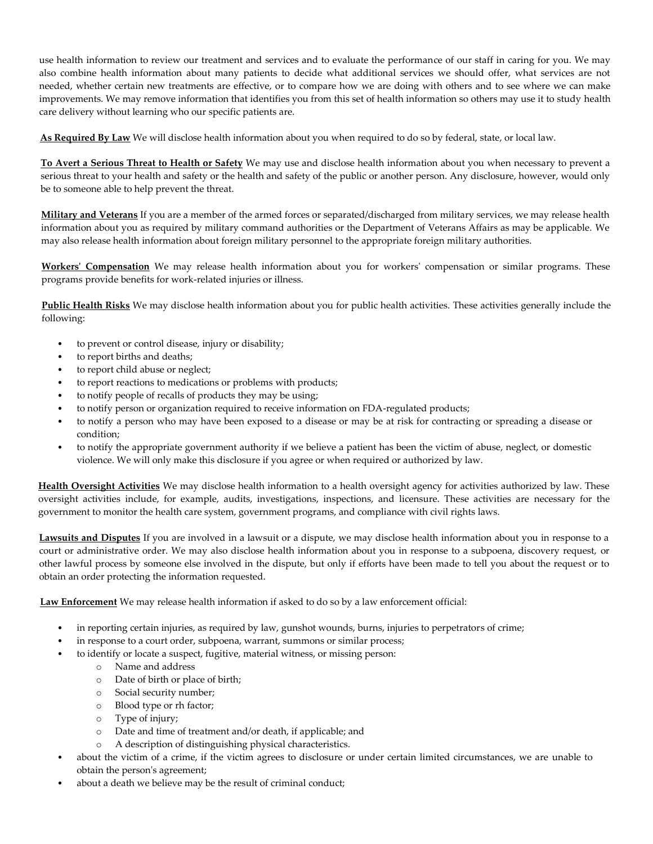use health information to review our treatment and services and to evaluate the performance of our staff in caring for you. We may also combine health information about many patients to decide what additional services we should offer, what services are not needed, whether certain new treatments are effective, or to compare how we are doing with others and to see where we can make improvements. We may remove information that identifies you from this set of health information so others may use it to study health care delivery without learning who our specific patients are.

**As Required By Law** We will disclose health information about you when required to do so by federal, state, or local law.

**To Avert a Serious Threat to Health or Safety** We may use and disclose health information about you when necessary to prevent a serious threat to your health and safety or the health and safety of the public or another person. Any disclosure, however, would only be to someone able to help prevent the threat.

**Military and Veterans** If you are a member of the armed forces or separated/discharged from military services, we may release health information about you as required by military command authorities or the Department of Veterans Affairs as may be applicable. We may also release health information about foreign military personnel to the appropriate foreign military authorities.

**Workers' Compensation** We may release health information about you for workers' compensation or similar programs. These programs provide benefits for work-related injuries or illness.

**Public Health Risks** We may disclose health information about you for public health activities. These activities generally include the following:

- to prevent or control disease, injury or disability;
- to report births and deaths;
- to report child abuse or neglect;
- to report reactions to medications or problems with products;
- to notify people of recalls of products they may be using;
- to notify person or organization required to receive information on FDA-regulated products;
- to notify a person who may have been exposed to a disease or may be at risk for contracting or spreading a disease or condition;
- to notify the appropriate government authority if we believe a patient has been the victim of abuse, neglect, or domestic violence. We will only make this disclosure if you agree or when required or authorized by law.

**Health Oversight Activities** We may disclose health information to a health oversight agency for activities authorized by law. These oversight activities include, for example, audits, investigations, inspections, and licensure. These activities are necessary for the government to monitor the health care system, government programs, and compliance with civil rights laws.

**Lawsuits and Disputes** If you are involved in a lawsuit or a dispute, we may disclose health information about you in response to a court or administrative order. We may also disclose health information about you in response to a subpoena, discovery request, or other lawful process by someone else involved in the dispute, but only if efforts have been made to tell you about the request or to obtain an order protecting the information requested.

**Law Enforcement** We may release health information if asked to do so by a law enforcement official:

- in reporting certain injuries, as required by law, gunshot wounds, burns, injuries to perpetrators of crime;
- in response to a court order, subpoena, warrant, summons or similar process;
- to identify or locate a suspect, fugitive, material witness, or missing person:
	- o Name and address
	- o Date of birth or place of birth;
	- o Social security number;
	- o Blood type or rh factor;
	- o Type of injury;
	- o Date and time of treatment and/or death, if applicable; and
	- o A description of distinguishing physical characteristics.
- about the victim of a crime, if the victim agrees to disclosure or under certain limited circumstances, we are unable to obtain the person's agreement;
- about a death we believe may be the result of criminal conduct;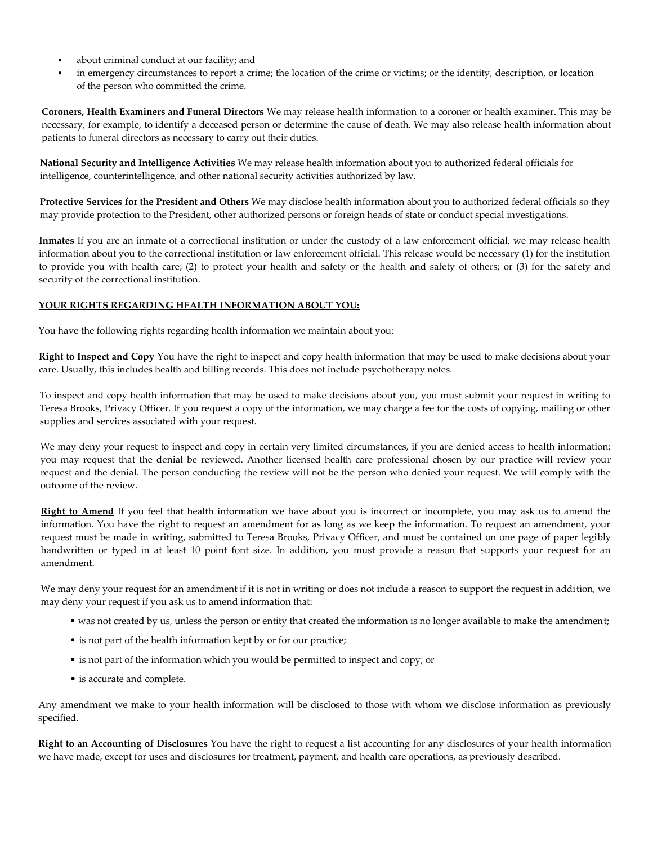- about criminal conduct at our facility; and
- in emergency circumstances to report a crime; the location of the crime or victims; or the identity, description, or location of the person who committed the crime.

**Coroners, Health Examiners and Funeral Directors** We may release health information to a coroner or health examiner. This may be necessary, for example, to identify a deceased person or determine the cause of death. We may also release health information about patients to funeral directors as necessary to carry out their duties.

**National Security and Intelligence Activities** We may release health information about you to authorized federal officials for intelligence, counterintelligence, and other national security activities authorized by law.

**Protective Services for the President and Others** We may disclose health information about you to authorized federal officials so they may provide protection to the President, other authorized persons or foreign heads of state or conduct special investigations.

**Inmates** If you are an inmate of a correctional institution or under the custody of a law enforcement official, we may release health information about you to the correctional institution or law enforcement official. This release would be necessary (1) for the institution to provide you with health care; (2) to protect your health and safety or the health and safety of others; or (3) for the safety and security of the correctional institution.

#### **YOUR RIGHTS REGARDING HEALTH INFORMATION ABOUT YOU:**

You have the following rights regarding health information we maintain about you:

**Right to Inspect and Copy** You have the right to inspect and copy health information that may be used to make decisions about your care. Usually, this includes health and billing records. This does not include psychotherapy notes.

To inspect and copy health information that may be used to make decisions about you, you must submit your request in writing to Teresa Brooks, Privacy Officer. If you request a copy of the information, we may charge a fee for the costs of copying, mailing or other supplies and services associated with your request.

We may deny your request to inspect and copy in certain very limited circumstances, if you are denied access to health information; you may request that the denial be reviewed. Another licensed health care professional chosen by our practice will review your request and the denial. The person conducting the review will not be the person who denied your request. We will comply with the outcome of the review.

**Right to Amend** If you feel that health information we have about you is incorrect or incomplete, you may ask us to amend the information. You have the right to request an amendment for as long as we keep the information. To request an amendment, your request must be made in writing, submitted to Teresa Brooks, Privacy Officer, and must be contained on one page of paper legibly handwritten or typed in at least 10 point font size. In addition, you must provide a reason that supports your request for an amendment.

We may deny your request for an amendment if it is not in writing or does not include a reason to support the request in addition, we may deny your request if you ask us to amend information that:

- was not created by us, unless the person or entity that created the information is no longer available to make the amendment;
- is not part of the health information kept by or for our practice;
- is not part of the information which you would be permitted to inspect and copy; or
- is accurate and complete.

Any amendment we make to your health information will be disclosed to those with whom we disclose information as previously specified.

**Right to an Accounting of Disclosures** You have the right to request a list accounting for any disclosures of your health information we have made, except for uses and disclosures for treatment, payment, and health care operations, as previously described.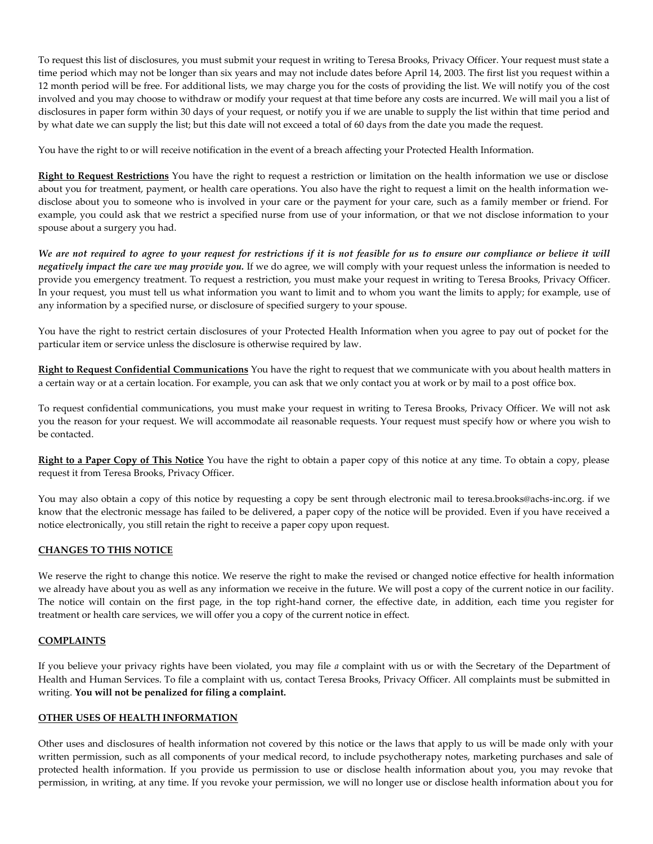To request this list of disclosures, you must submit your request in writing to Teresa Brooks, Privacy Officer. Your request must state a time period which may not be longer than six years and may not include dates before April 14, 2003. The first list you request within a 12 month period will be free. For additional lists, we may charge you for the costs of providing the list. We will notify you of the cost involved and you may choose to withdraw or modify your request at that time before any costs are incurred. We will mail you a list of disclosures in paper form within 30 days of your request, or notify you if we are unable to supply the list within that time period and by what date we can supply the list; but this date will not exceed a total of 60 days from the date you made the request.

You have the right to or will receive notification in the event of a breach affecting your Protected Health Information.

**Right to Request Restrictions** You have the right to request a restriction or limitation on the health information we use or disclose about you for treatment, payment, or health care operations. You also have the right to request a limit on the health information wedisclose about you to someone who is involved in your care or the payment for your care, such as a family member or friend. For example, you could ask that we restrict a specified nurse from use of your information, or that we not disclose information to your spouse about a surgery you had.

*We are not required to agree to your request for restrictions if it is not feasible for us to ensure our compliance or believe it will negatively impact the care we may provide you.* If we do agree, we will comply with your request unless the information is needed to provide you emergency treatment. To request a restriction, you must make your request in writing to Teresa Brooks, Privacy Officer. In your request, you must tell us what information you want to limit and to whom you want the limits to apply; for example, use of any information by a specified nurse, or disclosure of specified surgery to your spouse.

You have the right to restrict certain disclosures of your Protected Health Information when you agree to pay out of pocket for the particular item or service unless the disclosure is otherwise required by law.

**Right to Request Confidential Communications** You have the right to request that we communicate with you about health matters in a certain way or at a certain location. For example, you can ask that we only contact you at work or by mail to a post office box.

To request confidential communications, you must make your request in writing to Teresa Brooks, Privacy Officer. We will not ask you the reason for your request. We will accommodate ail reasonable requests. Your request must specify how or where you wish to be contacted.

**Right to a Paper Copy of This Notice** You have the right to obtain a paper copy of this notice at any time. To obtain a copy, please request it from Teresa Brooks, Privacy Officer.

You may also obtain a copy of this notice by requesting a copy be sent through electronic mail to teresa.brooks@achs-inc.org. if we know that the electronic message has failed to be delivered, a paper copy of the notice will be provided. Even if you have received a notice electronically, you still retain the right to receive a paper copy upon request.

#### **CHANGES TO THIS NOTICE**

We reserve the right to change this notice. We reserve the right to make the revised or changed notice effective for health information we already have about you as well as any information we receive in the future. We will post a copy of the current notice in our facility. The notice will contain on the first page, in the top right-hand corner, the effective date, in addition, each time you register for treatment or health care services, we will offer you a copy of the current notice in effect.

#### **COMPLAINTS**

If you believe your privacy rights have been violated, you may file *a* complaint with us or with the Secretary of the Department of Health and Human Services. To file a complaint with us, contact Teresa Brooks, Privacy Officer. All complaints must be submitted in writing. **You will not be penalized for filing a complaint.**

#### **OTHER USES OF HEALTH INFORMATION**

Other uses and disclosures of health information not covered by this notice or the laws that apply to us will be made only with your written permission, such as all components of your medical record, to include psychotherapy notes, marketing purchases and sale of protected health information. If you provide us permission to use or disclose health information about you, you may revoke that permission, in writing, at any time. If you revoke your permission, we will no longer use or disclose health information about you for